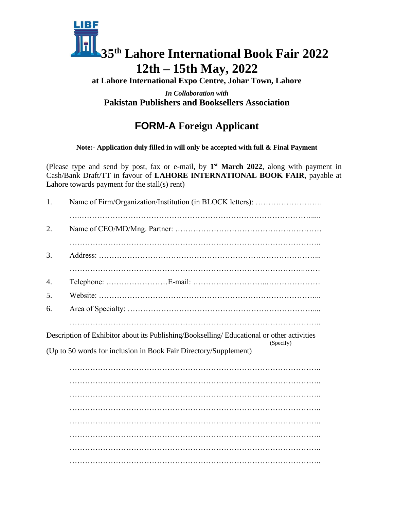

**at Lahore International Expo Centre, Johar Town, Lahore**

*In Collaboration with* **Pakistan Publishers and Booksellers Association**

# **FORM-A Foreign Applicant**

**Note:- Application duly filled in will only be accepted with full & Final Payment**

(Please type and send by post, fax or e-mail, by **1 st March 2022**, along with payment in Cash/Bank Draft/TT in favour of **LAHORE INTERNATIONAL BOOK FAIR**, payable at Lahore towards payment for the stall(s) rent)

| 1. |                                                                                                                                                                             |
|----|-----------------------------------------------------------------------------------------------------------------------------------------------------------------------------|
| 2. |                                                                                                                                                                             |
| 3. |                                                                                                                                                                             |
| 4. |                                                                                                                                                                             |
| 5. |                                                                                                                                                                             |
| 6. |                                                                                                                                                                             |
|    | Description of Exhibitor about its Publishing/Bookselling/ Educational or other activities<br>(Specify)<br>(Up to 50 words for inclusion in Book Fair Directory/Supplement) |
|    |                                                                                                                                                                             |
|    |                                                                                                                                                                             |
|    |                                                                                                                                                                             |
|    |                                                                                                                                                                             |
|    |                                                                                                                                                                             |
|    |                                                                                                                                                                             |
|    |                                                                                                                                                                             |
|    |                                                                                                                                                                             |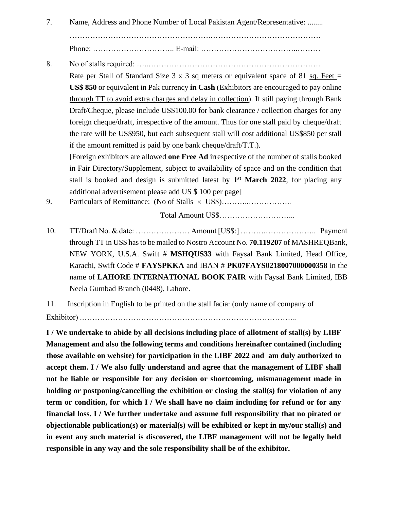7. Name, Address and Phone Number of Local Pakistan Agent/Representative: ........

……………………………………………….…………………………………….

Phone: ………………………….. E-mail: ………………………………..………

8. No of stalls required: …..…………………………………………………………. Rate per Stall of Standard Size  $3 \times 3$  sq meters or equivalent space of  $81$  sq. Feet  $=$ **US\$ 850** or equivalent in Pak currency **in Cash** (Exhibitors are encouraged to pay online through TT to avoid extra charges and delay in collection). If still paying through Bank Draft/Cheque, please include US\$100.00 for bank clearance / collection charges for any foreign cheque/draft, irrespective of the amount. Thus for one stall paid by cheque/draft the rate will be US\$950, but each subsequent stall will cost additional US\$850 per stall if the amount remitted is paid by one bank cheque/draft/T.T.).

[Foreign exhibitors are allowed **one Free Ad** irrespective of the number of stalls booked in Fair Directory/Supplement, subject to availability of space and on the condition that stall is booked and design is submitted latest by **1 st March 2022**, for placing any additional advertisement please add US \$ 100 per page]

9. Particulars of Remittance: (No of Stalls  $\times$  US\$)............................

Total Amount US\$………………………...

10. TT/Draft No. & date: ………………… Amount [US\$:] ……….……………….. Payment through TT in US\$ has to be mailed to Nostro Account No. **70.119207** of MASHREQBank, NEW YORK, U.S.A. Swift # **MSHQUS33** with Faysal Bank Limited, Head Office, Karachi, Swift Code # **FAYSPKKA** and IBAN # **PK07FAYS0218007000000358** in the name of **LAHORE INTERNATIONAL BOOK FAIR** with Faysal Bank Limited, IBB Neela Gumbad Branch (0448), Lahore.

11. Inscription in English to be printed on the stall facia: (only name of company of

Exhibitor) .………………………………………………………………………...

**I / We undertake to abide by all decisions including place of allotment of stall(s) by LIBF Management and also the following terms and conditions hereinafter contained (including those available on website) for participation in the LIBF 2022 and am duly authorized to accept them. I / We also fully understand and agree that the management of LIBF shall not be liable or responsible for any decision or shortcoming, mismanagement made in holding or postponing/cancelling the exhibition or closing the stall(s) for violation of any term or condition, for which I / We shall have no claim including for refund or for any financial loss. I / We further undertake and assume full responsibility that no pirated or objectionable publication(s) or material(s) will be exhibited or kept in my/our stall(s) and in event any such material is discovered, the LIBF management will not be legally held responsible in any way and the sole responsibility shall be of the exhibitor.**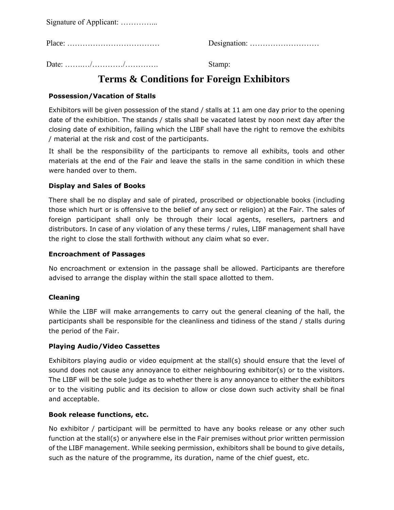Signature of Applicant: …………...

Place: ……………………………… Designation: ………………………

Date: …….…/…………/…………. Stamp:

## **Terms & Conditions for Foreign Exhibitors**

### **Possession/Vacation of Stalls**

Exhibitors will be given possession of the stand / stalls at 11 am one day prior to the opening date of the exhibition. The stands / stalls shall be vacated latest by noon next day after the closing date of exhibition, failing which the LIBF shall have the right to remove the exhibits / material at the risk and cost of the participants.

It shall be the responsibility of the participants to remove all exhibits, tools and other materials at the end of the Fair and leave the stalls in the same condition in which these were handed over to them.

## **Display and Sales of Books**

There shall be no display and sale of pirated, proscribed or objectionable books (including those which hurt or is offensive to the belief of any sect or religion) at the Fair. The sales of foreign participant shall only be through their local agents, resellers, partners and distributors. In case of any violation of any these terms / rules, LIBF management shall have the right to close the stall forthwith without any claim what so ever.

#### **Encroachment of Passages**

No encroachment or extension in the passage shall be allowed. Participants are therefore advised to arrange the display within the stall space allotted to them.

#### **Cleaning**

While the LIBF will make arrangements to carry out the general cleaning of the hall, the participants shall be responsible for the cleanliness and tidiness of the stand / stalls during the period of the Fair.

#### **Playing Audio/Video Cassettes**

Exhibitors playing audio or video equipment at the stall(s) should ensure that the level of sound does not cause any annoyance to either neighbouring exhibitor(s) or to the visitors. The LIBF will be the sole judge as to whether there is any annoyance to either the exhibitors or to the visiting public and its decision to allow or close down such activity shall be final and acceptable.

#### **Book release functions, etc.**

No exhibitor / participant will be permitted to have any books release or any other such function at the stall(s) or anywhere else in the Fair premises without prior written permission of the LIBF management. While seeking permission, exhibitors shall be bound to give details, such as the nature of the programme, its duration, name of the chief guest, etc.